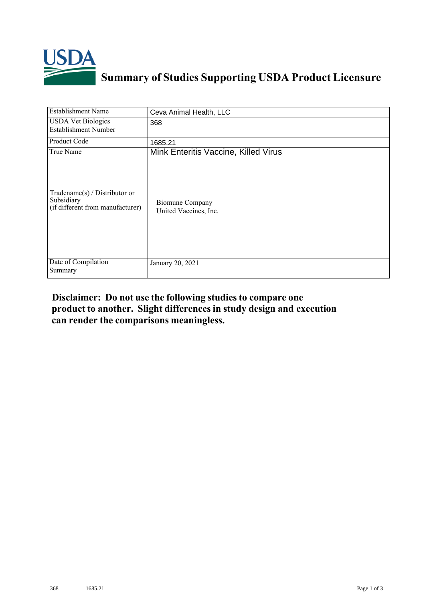

## **Summary of Studies Supporting USDA Product Licensure**

| <b>Establishment Name</b>                                                       | Ceva Animal Health, LLC                         |
|---------------------------------------------------------------------------------|-------------------------------------------------|
| <b>USDA Vet Biologics</b><br><b>Establishment Number</b>                        | 368                                             |
| Product Code                                                                    | 1685.21                                         |
| True Name                                                                       | Mink Enteritis Vaccine, Killed Virus            |
| Tradename(s) / Distributor or<br>Subsidiary<br>(if different from manufacturer) | <b>Biomune Company</b><br>United Vaccines, Inc. |
| Date of Compilation<br>Summary                                                  | January 20, 2021                                |

## **Disclaimer: Do not use the following studiesto compare one product to another. Slight differencesin study design and execution can render the comparisons meaningless.**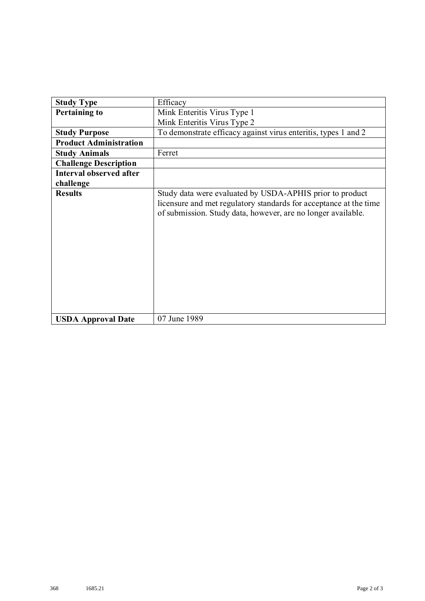| <b>Study Type</b>              | Efficacy                                                                                                                                                                                      |
|--------------------------------|-----------------------------------------------------------------------------------------------------------------------------------------------------------------------------------------------|
| <b>Pertaining to</b>           | Mink Enteritis Virus Type 1                                                                                                                                                                   |
|                                | Mink Enteritis Virus Type 2                                                                                                                                                                   |
| <b>Study Purpose</b>           | To demonstrate efficacy against virus enteritis, types 1 and 2                                                                                                                                |
| <b>Product Administration</b>  |                                                                                                                                                                                               |
| <b>Study Animals</b>           | Ferret                                                                                                                                                                                        |
| <b>Challenge Description</b>   |                                                                                                                                                                                               |
| <b>Interval observed after</b> |                                                                                                                                                                                               |
| challenge                      |                                                                                                                                                                                               |
| <b>Results</b>                 | Study data were evaluated by USDA-APHIS prior to product<br>licensure and met regulatory standards for acceptance at the time<br>of submission. Study data, however, are no longer available. |
| <b>USDA Approval Date</b>      | 07 June 1989                                                                                                                                                                                  |